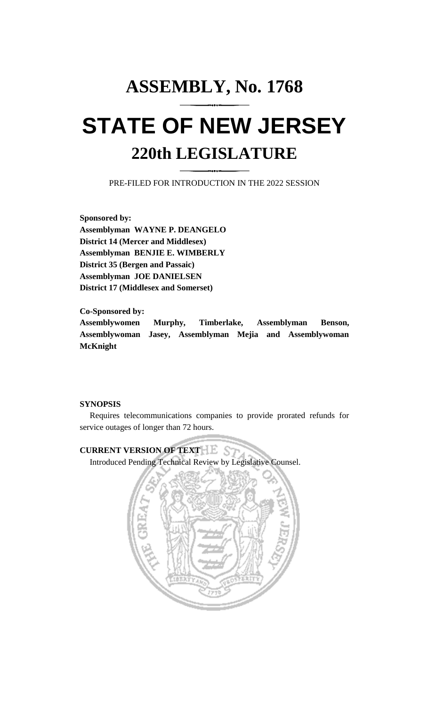# **ASSEMBLY, No. 1768 STATE OF NEW JERSEY 220th LEGISLATURE**

PRE-FILED FOR INTRODUCTION IN THE 2022 SESSION

**Sponsored by: Assemblyman WAYNE P. DEANGELO District 14 (Mercer and Middlesex) Assemblyman BENJIE E. WIMBERLY District 35 (Bergen and Passaic) Assemblyman JOE DANIELSEN District 17 (Middlesex and Somerset)**

**Co-Sponsored by: Assemblywomen Murphy, Timberlake, Assemblyman Benson, Assemblywoman Jasey, Assemblyman Mejia and Assemblywoman McKnight**

## **SYNOPSIS**

Requires telecommunications companies to provide prorated refunds for service outages of longer than 72 hours.

# **CURRENT VERSION OF TEXT LESS**

Introduced Pending Technical Review by Legislative Counsel.

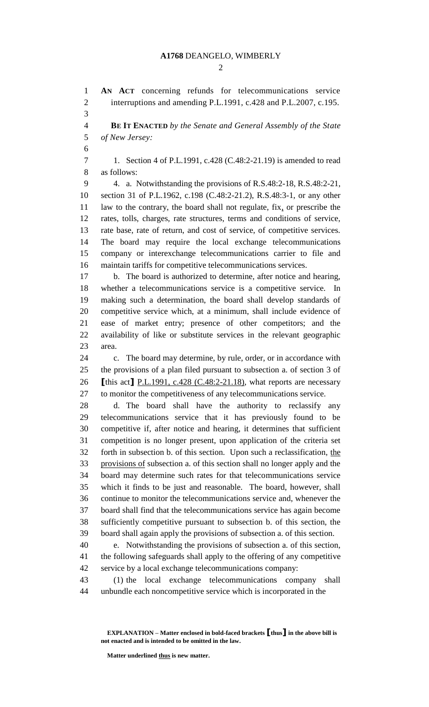#### **A1768** DEANGELO, WIMBERLY

 $\mathcal{D}_{\mathcal{L}}$ 

 **AN ACT** concerning refunds for telecommunications service 2 interruptions and amending P.L.1991, c.428 and P.L.2007, c.195. 

 **BE IT ENACTED** *by the Senate and General Assembly of the State of New Jersey:*

 1. Section 4 of P.L.1991, c.428 (C.48:2-21.19) is amended to read as follows:

 4. a. Notwithstanding the provisions of R.S.48:2-18, R.S.48:2-21, section 31 of P.L.1962, c.198 (C.48:2-21.2), R.S.48:3-1, or any other law to the contrary, the board shall not regulate, fix, or prescribe the rates, tolls, charges, rate structures, terms and conditions of service, rate base, rate of return, and cost of service, of competitive services. The board may require the local exchange telecommunications company or interexchange telecommunications carrier to file and maintain tariffs for competitive telecommunications services.

 b. The board is authorized to determine, after notice and hearing, whether a telecommunications service is a competitive service. In making such a determination, the board shall develop standards of competitive service which, at a minimum, shall include evidence of ease of market entry; presence of other competitors; and the availability of like or substitute services in the relevant geographic area.

 c. The board may determine, by rule, order, or in accordance with the provisions of a plan filed pursuant to subsection a. of section 3 of **[**this act**]** P.L.1991, c.428 (C.48:2-21.18), what reports are necessary to monitor the competitiveness of any telecommunications service.

 d. The board shall have the authority to reclassify any telecommunications service that it has previously found to be competitive if, after notice and hearing, it determines that sufficient competition is no longer present, upon application of the criteria set forth in subsection b. of this section. Upon such a reclassification, the provisions of subsection a. of this section shall no longer apply and the board may determine such rates for that telecommunications service which it finds to be just and reasonable. The board, however, shall continue to monitor the telecommunications service and, whenever the board shall find that the telecommunications service has again become sufficiently competitive pursuant to subsection b. of this section, the board shall again apply the provisions of subsection a. of this section.

 e. Notwithstanding the provisions of subsection a. of this section, the following safeguards shall apply to the offering of any competitive service by a local exchange telecommunications company:

 (1) the local exchange telecommunications company shall unbundle each noncompetitive service which is incorporated in the

**EXPLANATION – Matter enclosed in bold-faced brackets [thus] in the above bill is not enacted and is intended to be omitted in the law.**

**Matter underlined thus is new matter.**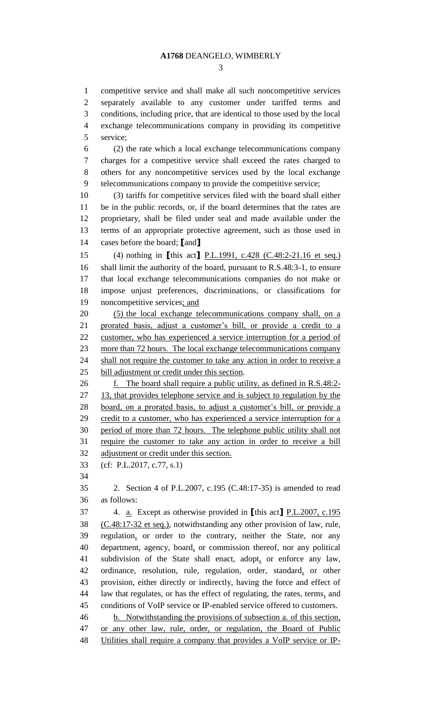competitive service and shall make all such noncompetitive services separately available to any customer under tariffed terms and conditions, including price, that are identical to those used by the local exchange telecommunications company in providing its competitive service; (2) the rate which a local exchange telecommunications company charges for a competitive service shall exceed the rates charged to others for any noncompetitive services used by the local exchange telecommunications company to provide the competitive service; (3) tariffs for competitive services filed with the board shall either be in the public records, or, if the board determines that the rates are proprietary, shall be filed under seal and made available under the terms of an appropriate protective agreement, such as those used in cases before the board; **[**and**]** (4) nothing in **[**this act**]** P.L.1991, c.428 (C.48:2-21.16 et seq.) shall limit the authority of the board, pursuant to R.S.48:3-1, to ensure that local exchange telecommunications companies do not make or impose unjust preferences, discriminations, or classifications for 19 noncompetitive services; and (5) the local exchange telecommunications company shall, on a prorated basis, adjust a customer's bill, or provide a credit to a customer, who has experienced a service interruption for a period of more than 72 hours. The local exchange telecommunications company 24 shall not require the customer to take any action in order to receive a bill adjustment or credit under this section. f. The board shall require a public utility, as defined in R.S.48:2- 27 13, that provides telephone service and is subject to regulation by the board, on a prorated basis, to adjust a customer's bill, or provide a 29 credit to a customer, who has experienced a service interruption for a period of more than 72 hours. The telephone public utility shall not require the customer to take any action in order to receive a bill adjustment or credit under this section. (cf: P.L.2017, c.77, s.1) 2. Section 4 of P.L.2007, c.195 (C.48:17-35) is amended to read as follows: 4. a. Except as otherwise provided in **[**this act**]** P.L.2007, c.195 (C.48:17-32 et seq.), notwithstanding any other provision of law, rule, regulation, or order to the contrary, neither the State, nor any department, agency, board, or commission thereof, nor any political subdivision of the State shall enact, adopt, or enforce any law, ordinance, resolution, rule, regulation, order, standard, or other provision, either directly or indirectly, having the force and effect of law that regulates, or has the effect of regulating, the rates, terms, and conditions of VoIP service or IP-enabled service offered to customers. b. Notwithstanding the provisions of subsection a. of this section, or any other law, rule, order, or regulation, the Board of Public Utilities shall require a company that provides a VoIP service or IP-